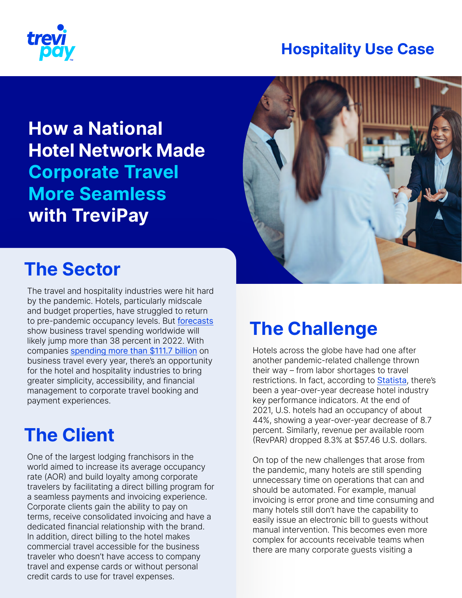

### **Hospitality Use Case**

**How a National Hotel Network Made Corporate Travel More Seamless with TreviPay** 



### **The Sector**

The travel and hospitality industries were hit hard by the pandemic. Hotels, particularly midscale and budget properties, have struggled to return to pre-pandemic occupancy levels. But [forecasts](https://www.gbta.org/blog/from-setback-to-surge-business-travel-expected-to-fully-recover-by-2024/) show business travel spending worldwide will likely jump more than 38 percent in 2022. With companies [spending more than \\$111.7 billion](https://apnews.com/press-release/business-wire/technology-business-lifestyle-travel-boston-cf4e7afdb9d14c788400f1b47e796b83) on business travel every year, there's an opportunity for the hotel and hospitality industries to bring greater simplicity, accessibility, and financial management to corporate travel booking and payment experiences.

# **The Client**

One of the largest lodging franchisors in the world aimed to increase its average occupancy rate (AOR) and build loyalty among corporate travelers by facilitating a direct billing program for a seamless payments and invoicing experience. Corporate clients gain the ability to pay on terms, receive consolidated invoicing and have a dedicated financial relationship with the brand. In addition, direct billing to the hotel makes commercial travel accessible for the business traveler who doesn't have access to company travel and expense cards or without personal credit cards to use for travel expenses.

# **The Challenge**

Hotels across the globe have had one after another pandemic-related challenge thrown their way – from labor shortages to travel restrictions. In fact, according to [Statista](https://www.statista.com/statistics/1109880/coronavirus-hotel-sector-kpis/), there's been a year-over-year decrease hotel industry key performance indicators. At the end of 2021, U.S. hotels had an occupancy of about 44%, showing a year-over-year decrease of 8.7 percent. Similarly, revenue per available room (RevPAR) dropped 8.3% at \$57.46 U.S. dollars.

On top of the new challenges that arose from the pandemic, many hotels are still spending unnecessary time on operations that can and should be automated. For example, manual invoicing is error prone and time consuming and many hotels still don't have the capability to easily issue an electronic bill to guests without manual intervention. This becomes even more complex for accounts receivable teams when there are many corporate guests visiting a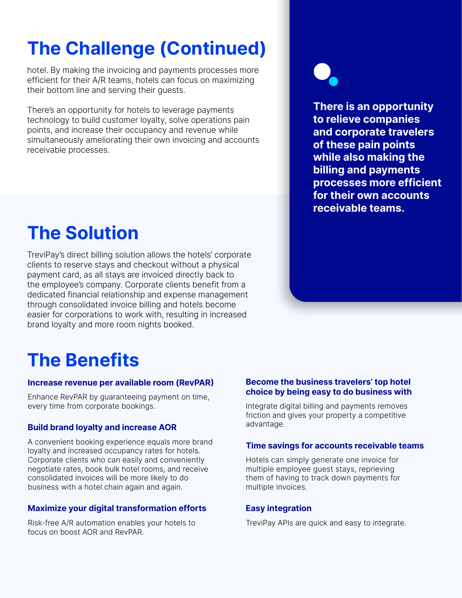# **The Challenge (Continued)**

hotel. By making the invoicing and payments processes more efficient for their A/R teams, hotels can focus on maximizing their bottom line and serving their guests.

There's an opportunity for hotels to leverage payments technology to build customer loyalty, solve operations pain points, and increase their occupancy and revenue while simultaneously ameliorating their own invoicing and accounts receivable processes.

### **The Solution**

TreviPay's direct billing solution allows the hotels' corporate clients to reserve stays and checkout without a physical payment card, as all stays are invoiced directly back to the employee's company. Corporate clients benefit from a dedicated financial relationship and expense management through consolidated invoice billing and hotels become easier for corporations to work with, resulting in increased brand loyalty and more room nights booked.

**There is an opportunity to relieve companies and corporate travelers of these pain points while also making the billing and payments processes more efficient for their own accounts receivable teams.**

# **The Benefits**

#### **Increase revenue per available room (RevPAR)**

Enhance RevPAR by guaranteeing payment on time, every time from corporate bookings.

#### **Build brand loyalty and increase AOR**

A convenient booking experience equals more brand loyalty and increased occupancy rates for hotels. Corporate clients who can easily and conveniently negotiate rates, book bulk hotel rooms, and receive consolidated invoices will be more likely to do business with a hotel chain again and again.

#### **Maximize your digital transformation efforts**

Risk-free A/R automation enables your hotels to focus on boost AOR and RevPAR.

#### **Become the business travelers' top hotel choice by being easy to do business with**

Integrate digital billing and payments removes friction and gives your property a competitive advantage.

#### **Time savings for accounts receivable teams**

Hotels can simply generate one invoice for multiple employee guest stays, reprieving them of having to track down payments for multiple invoices.

#### **Easy integration**

TreviPay APIs are quick and easy to integrate.